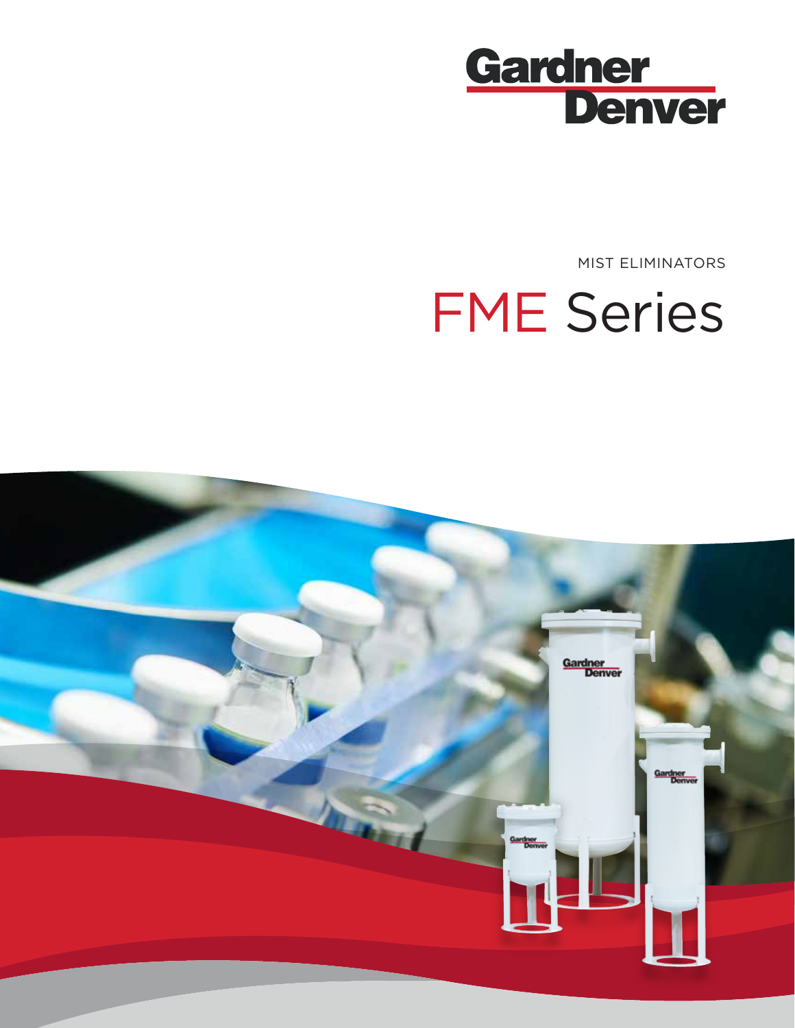

MIST ELIMINATORS

# FME Series

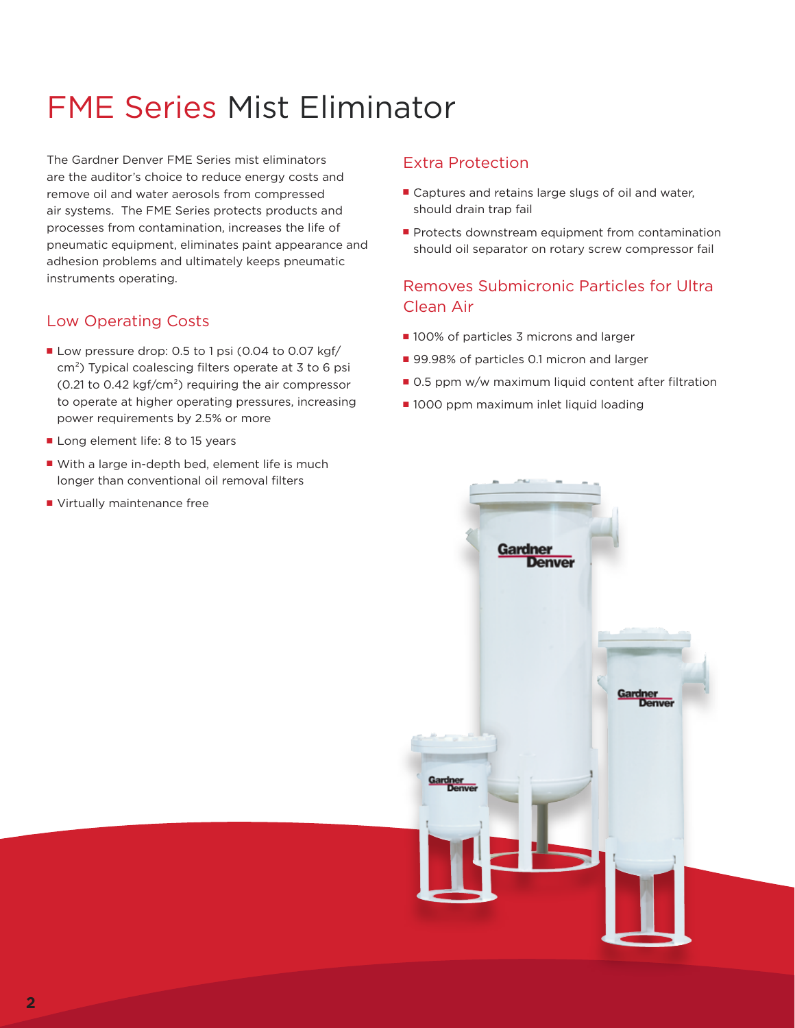# FME Series Mist Eliminator

The Gardner Denver FME Series mist eliminators are the auditor's choice to reduce energy costs and remove oil and water aerosols from compressed air systems. The FME Series protects products and processes from contamination, increases the life of pneumatic equipment, eliminates paint appearance and adhesion problems and ultimately keeps pneumatic instruments operating.

# Low Operating Costs

- Low pressure drop: 0.5 to 1 psi (0.04 to 0.07 kgf/ cm²) Typical coalescing filters operate at 3 to 6 psi (0.21 to 0.42 kgf/cm²) requiring the air compressor to operate at higher operating pressures, increasing power requirements by 2.5% or more
- Long element life: 8 to 15 years
- With a large in-depth bed, element life is much longer than conventional oil removal filters
- Virtually maintenance free

## Extra Protection

- Captures and retains large slugs of oil and water, should drain trap fail
- Protects downstream equipment from contamination should oil separator on rotary screw compressor fail

# Removes Submicronic Particles for Ultra Clean Air

- 100% of particles 3 microns and larger
- 99.98% of particles 0.1 micron and larger
- 0.5 ppm w/w maximum liquid content after filtration
- 1000 ppm maximum inlet liquid loading

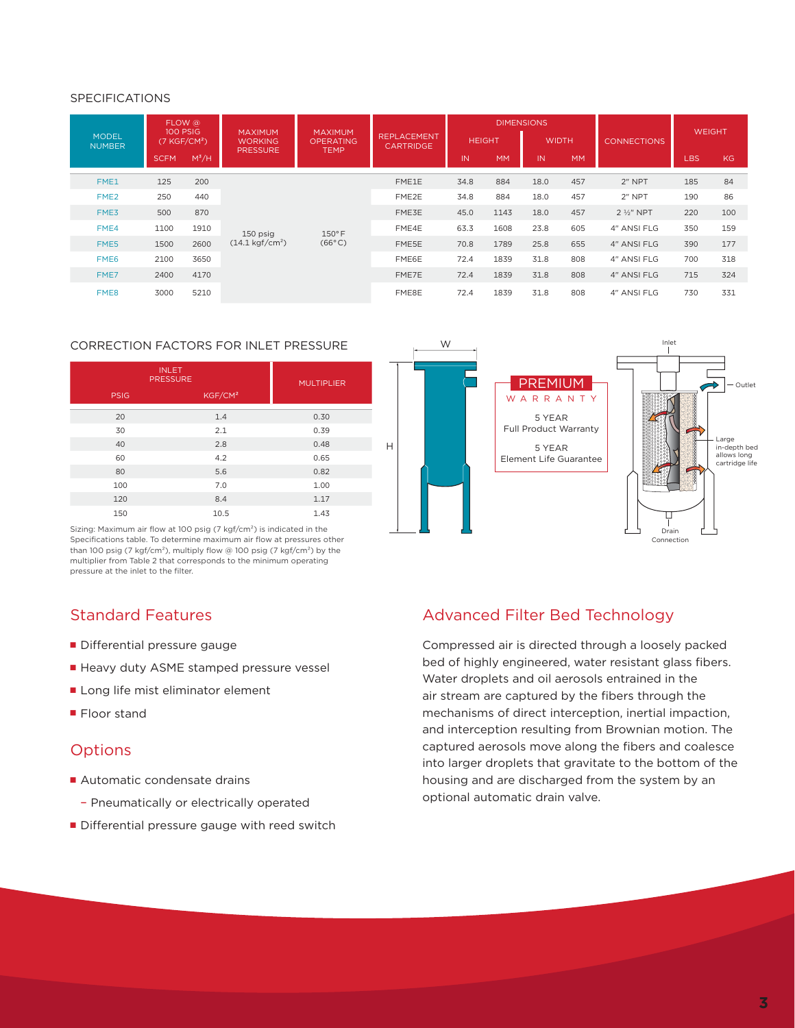#### SPECIFICATIONS

|                               |             | FLOW @<br>100 PSIG       | <b>MAXIMUM</b><br><b>WORKING</b><br><b>PRESSURE</b> | <b>MAXIMUM</b><br><b>OPERATING</b><br><b>TEMP</b> | <b>REPLACEMENT</b><br><b>CARTRIDGE</b> | <b>DIMENSIONS</b> |           |              |           |                      | <b>WEIGHT</b> |     |
|-------------------------------|-------------|--------------------------|-----------------------------------------------------|---------------------------------------------------|----------------------------------------|-------------------|-----------|--------------|-----------|----------------------|---------------|-----|
| <b>MODEL</b><br><b>NUMBER</b> |             | (7 KGF/CM <sup>2</sup> ) |                                                     |                                                   |                                        | <b>HEIGHT</b>     |           | <b>WIDTH</b> |           | <b>CONNECTIONS</b>   |               |     |
|                               | <b>SCFM</b> | $M^3/H$                  |                                                     |                                                   |                                        | IN                | <b>MM</b> | IN           | <b>MM</b> |                      | <b>LBS</b>    | KG. |
| FME1                          | 125         | 200                      | 150 psig<br>$(14.1 \,\text{kgf/cm}^2)$              | $150°$ F<br>$(66^{\circ}C)$                       | FME1E                                  | 34.8              | 884       | 18.0         | 457       | $2$ " NPT            | 185           | 84  |
| FME <sub>2</sub>              | 250         | 440                      |                                                     |                                                   | FME2E                                  | 34.8              | 884       | 18.0         | 457       | $2$ " NPT            | 190           | 86  |
| FME3                          | 500         | 870                      |                                                     |                                                   | FME3E                                  | 45.0              | 1143      | 18.0         | 457       | $2\frac{1}{2}$ " NPT | 220           | 100 |
| FME4                          | 1100        | 1910                     |                                                     |                                                   | FME4E                                  | 63.3              | 1608      | 23.8         | 605       | 4" ANSI FLG          | 350           | 159 |
| FME5                          | 1500        | 2600                     |                                                     |                                                   | FME5E                                  | 70.8              | 1789      | 25.8         | 655       | 4" ANSI FLG          | 390           | 177 |
| FME <sub>6</sub>              | 2100        | 3650                     |                                                     |                                                   | FME6E                                  | 72.4              | 1839      | 31.8         | 808       | 4" ANSI FLG          | 700           | 318 |
| FME7                          | 2400        | 4170                     |                                                     |                                                   | FME7E                                  | 72.4              | 1839      | 31.8         | 808       | 4" ANSI FLG          | 715           | 324 |
| FME8                          | 3000        | 5210                     |                                                     |                                                   | FME8E                                  | 72.4              | 1839      | 31.8         | 808       | 4" ANSI FLG          | 730           | 331 |

H

#### CORRECTION FACTORS FOR INLET PRESSURE

| <b>INLET</b><br><b>PRESSURE</b> | <b>MULTIPLIER</b>   |      |  |  |
|---------------------------------|---------------------|------|--|--|
| <b>PSIG</b>                     | KGF/CM <sup>2</sup> |      |  |  |
| 20                              | 1.4                 | 0.30 |  |  |
| 30                              | 2.1                 | 0.39 |  |  |
| 40                              | 2.8                 | 0.48 |  |  |
| 60                              | 4.2                 | 0.65 |  |  |
| 80                              | 5.6                 | 0.82 |  |  |
| 100                             | 7.0                 | 1.00 |  |  |
| 120                             | 8.4                 | 1.17 |  |  |
| 150                             | 10.5                | 1.43 |  |  |



Sizing: Maximum air flow at 100 psig (7 kgf/cm²) is indicated in the Specifications table. To determine maximum air flow at pressures other than 100 psig (7 kgf/cm<sup>2</sup>), multiply flow @ 100 psig (7 kgf/cm<sup>2</sup>) by the multiplier from Table 2 that corresponds to the minimum operating pressure at the inlet to the filter.

# Standard Features

- Differential pressure gauge
- Heavy duty ASME stamped pressure vessel
- Long life mist eliminator element
- Floor stand

### **Options**

- Automatic condensate drains
	- Pneumatically or electrically operated
- Differential pressure gauge with reed switch

### Advanced Filter Bed Technology

Compressed air is directed through a loosely packed bed of highly engineered, water resistant glass fibers. Water droplets and oil aerosols entrained in the air stream are captured by the fibers through the mechanisms of direct interception, inertial impaction, and interception resulting from Brownian motion. The captured aerosols move along the fibers and coalesce into larger droplets that gravitate to the bottom of the housing and are discharged from the system by an optional automatic drain valve.

Connection

Outlet